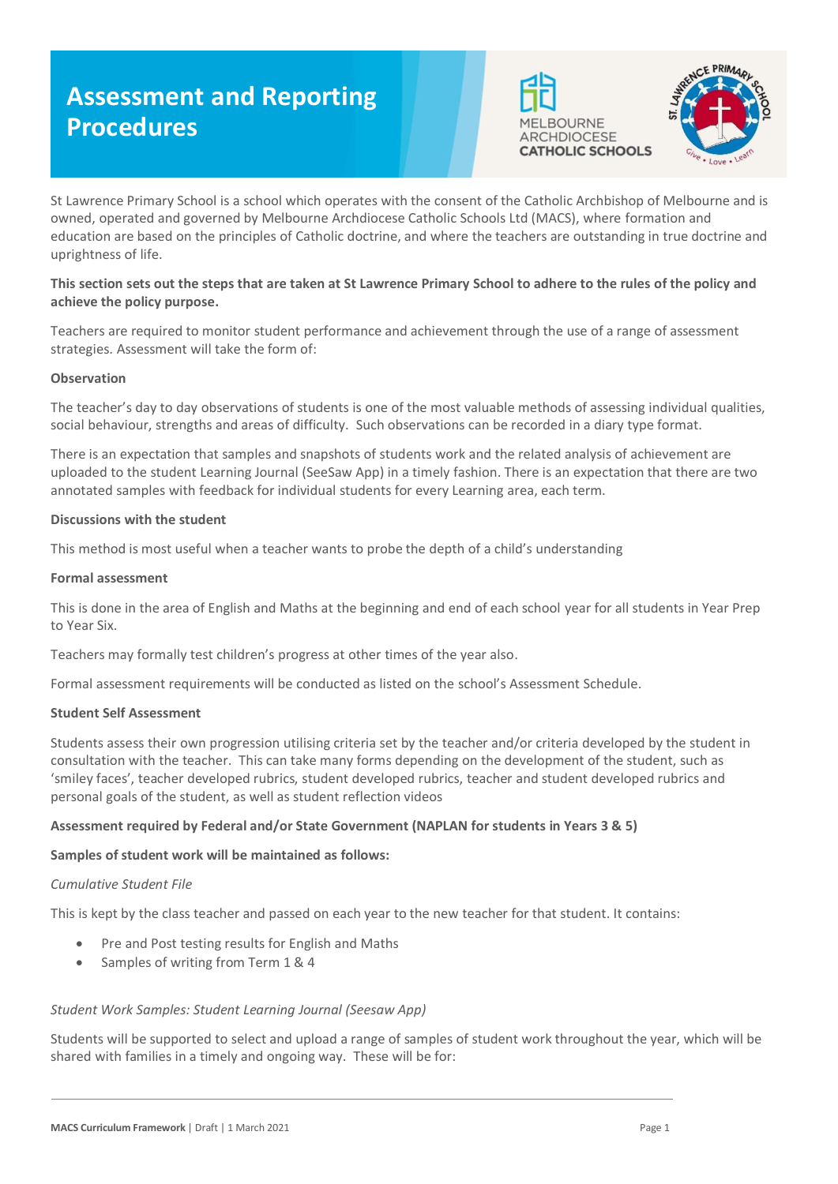# **Assessment and Reporting Procedures**





St Lawrence Primary School is a school which operates with the consent of the Catholic Archbishop of Melbourne and is owned, operated and governed by Melbourne Archdiocese Catholic Schools Ltd (MACS), where formation and education are based on the principles of Catholic doctrine, and where the teachers are outstanding in true doctrine and uprightness of life.

# **This section sets out the steps that are taken at St Lawrence Primary School to adhere to the rules of the policy and achieve the policy purpose.**

Teachers are required to monitor student performance and achievement through the use of a range of assessment strategies. Assessment will take the form of:

## **Observation**

The teacher's day to day observations of students is one of the most valuable methods of assessing individual qualities, social behaviour, strengths and areas of difficulty. Such observations can be recorded in a diary type format.

There is an expectation that samples and snapshots of students work and the related analysis of achievement are uploaded to the student Learning Journal (SeeSaw App) in a timely fashion. There is an expectation that there are two annotated samples with feedback for individual students for every Learning area, each term.

## **Discussions with the student**

This method is most useful when a teacher wants to probe the depth of a child's understanding

#### **Formal assessment**

This is done in the area of English and Maths at the beginning and end of each school year for all students in Year Prep to Year Six.

Teachers may formally test children's progress at other times of the year also.

Formal assessment requirements will be conducted as listed on the school's Assessment Schedule.

#### **Student Self Assessment**

Students assess their own progression utilising criteria set by the teacher and/or criteria developed by the student in consultation with the teacher. This can take many forms depending on the development of the student, such as 'smiley faces', teacher developed rubrics, student developed rubrics, teacher and student developed rubrics and personal goals of the student, as well as student reflection videos

## **Assessment required by Federal and/or State Government (NAPLAN for students in Years 3 & 5)**

#### **Samples of student work will be maintained as follows:**

#### *Cumulative Student File*

This is kept by the class teacher and passed on each year to the new teacher for that student. It contains:

- Pre and Post testing results for English and Maths
- Samples of writing from Term 1 & 4

#### *Student Work Samples: Student Learning Journal (Seesaw App)*

Students will be supported to select and upload a range of samples of student work throughout the year, which will be shared with families in a timely and ongoing way. These will be for: